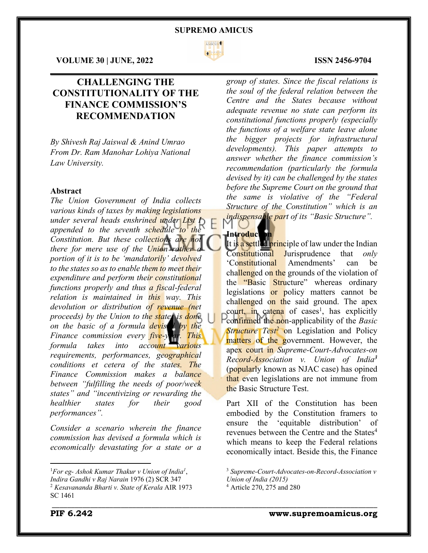

 $\mathcal{L}_\mathcal{L} = \mathcal{L}_\mathcal{L} = \mathcal{L}_\mathcal{L} = \mathcal{L}_\mathcal{L} = \mathcal{L}_\mathcal{L} = \mathcal{L}_\mathcal{L} = \mathcal{L}_\mathcal{L} = \mathcal{L}_\mathcal{L} = \mathcal{L}_\mathcal{L} = \mathcal{L}_\mathcal{L} = \mathcal{L}_\mathcal{L} = \mathcal{L}_\mathcal{L} = \mathcal{L}_\mathcal{L} = \mathcal{L}_\mathcal{L} = \mathcal{L}_\mathcal{L} = \mathcal{L}_\mathcal{L} = \mathcal{L}_\mathcal{L}$ 

#### **VOLUME 30 | JUNE, 2022 ISSN 2456-9704**

# **CHALLENGING THE CONSTITUTIONALITY OF THE FINANCE COMMISSION'S RECOMMENDATION**

*By Shivesh Raj Jaiswal & Anind Umrao From Dr. Ram Manohar Lohiya National Law University.*

#### **Abstract**

*The Union Government of India collects various kinds of taxes by making legislations under several heads enshrined under List I appended to the seventh schedule to the Constitution. But these collections are not there for mere use of the Union rather a portion of it is to be 'mandatorily' devolved to the states so as to enable them to meet their expenditure and perform their constitutional functions properly and thus a fiscal-federal relation is maintained in this way. This devolution or distribution of revenue (net proceeds) by the Union to the states is done on the basic of a formula devised by the Finance commission every five-year. This formula takes into account various requirements, performances, geographical conditions et cetera of the states. The Finance Commission makes a balance between "fulfilling the needs of poor/week states" and "incentivizing or rewarding the healthier states for their good performances".*

*Consider a scenario wherein the finance commission has devised a formula which is economically devastating for a state or a*  *group of states. Since the fiscal relations is the soul of the federal relation between the Centre and the States because without adequate revenue no state can perform its constitutional functions properly (especially the functions of a welfare state leave alone the bigger projects for infrastructural developments). This paper attempts to answer whether the finance commission's recommendation (particularly the formula devised by it) can be challenged by the states before the Supreme Court on the ground that the same is violative of the "Federal Structure of the Constitution" which is an indispensable part of its "Basic Structure".*

**Introduct** It is a settled principle of law under the Indian Constitutional Jurisprudence that *only* 'Constitutional Amendments' can be challenged on the grounds of the violation of the "Basic Structure" whereas ordinary legislations or policy matters cannot be challenged on the said ground. The apex court, in catena of cases<sup>1</sup>, has explicitly confirmed the non-applicability of the *Basic Structure Test<sup>2</sup>* on Legislation and Policy matters of the government. However, the apex court in *Supreme-Court-Advocates-on Record-Association v. Union of India<sup>3</sup>* (popularly known as NJAC case) has opined that even legislations are not immune from the Basic Structure Test.

Part XII of the Constitution has been embodied by the Constitution framers to ensure the 'equitable distribution' of revenues between the Centre and the States<sup>4</sup> which means to keep the Federal relations economically intact. Beside this, the Finance

<sup>1</sup> *For eg- Ashok Kumar Thakur v Union of India1* , *Indira Gandhi v Raj Narain* 1976 (2) SCR 347 <sup>2</sup> *Kesavananda Bharti v. State of Kerala* AIR 1973 SC 1461

<sup>3</sup> *Supreme-Court-Advocates-on-Record-Association v Union of India (2015)*

<sup>4</sup> Article 270, 275 and 280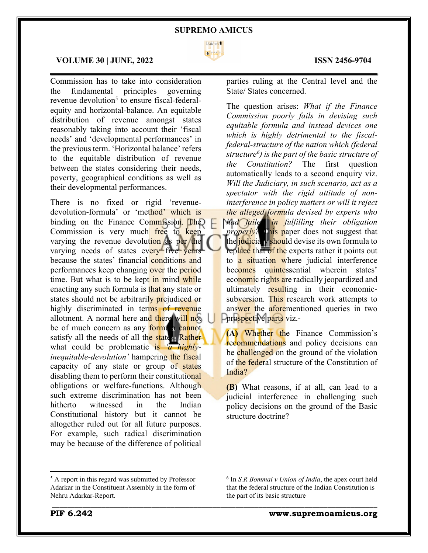

#### **VOLUME 30 | JUNE, 2022 ISSN 2456-9704**

Commission has to take into consideration the fundamental principles governing revenue devolution<sup>5</sup> to ensure fiscal-federalequity and horizontal-balance. An equitable distribution of revenue amongst states reasonably taking into account their 'fiscal needs' and 'developmental performances' in the previous term. 'Horizontal balance' refers to the equitable distribution of revenue between the states considering their needs, poverty, geographical conditions as well as their developmental performances.

There is no fixed or rigid 'revenuedevolution-formula' or 'method' which is binding on the Finance Commission. The Commission is very much free to keep varying the revenue devolution as per the varying needs of states every five years because the states' financial conditions and performances keep changing over the period time. But what is to be kept in mind while enacting any such formula is that any state or states should not be arbitrarily prejudiced or highly discriminated in terms of revenue allotment. A normal here and there will not be of much concern as any formula cannot satisfy all the needs of all the states. Rather what could be problematic is *'a highlyinequitable-devolution'* hampering the fiscal capacity of any state or group of states disabling them to perform their constitutional obligations or welfare-functions. Although such extreme discrimination has not been hitherto witnessed in the Indian Constitutional history but it cannot be altogether ruled out for all future purposes. For example, such radical discrimination may be because of the difference of political

# $\mathcal{L}_\mathcal{L} = \mathcal{L}_\mathcal{L} = \mathcal{L}_\mathcal{L} = \mathcal{L}_\mathcal{L} = \mathcal{L}_\mathcal{L} = \mathcal{L}_\mathcal{L} = \mathcal{L}_\mathcal{L} = \mathcal{L}_\mathcal{L} = \mathcal{L}_\mathcal{L} = \mathcal{L}_\mathcal{L} = \mathcal{L}_\mathcal{L} = \mathcal{L}_\mathcal{L} = \mathcal{L}_\mathcal{L} = \mathcal{L}_\mathcal{L} = \mathcal{L}_\mathcal{L} = \mathcal{L}_\mathcal{L} = \mathcal{L}_\mathcal{L}$

parties ruling at the Central level and the State/ States concerned.

The question arises: *What if the Finance Commission poorly fails in devising such equitable formula and instead devices one which is highly detrimental to the fiscalfederal-structure of the nation which (federal structure6 ) is the part of the basic structure of the Constitution?* The first question automatically leads to a second enquiry viz. *Will the Judiciary, in such scenario, act as a spectator with the rigid attitude of noninterference in policy matters or will it reject the alleged formula devised by experts who* 

*had failed in fulfilling their obligation properly?* This paper does not suggest that the judiciary should devise its own formula to replace that of the experts rather it points out to a situation where judicial interference becomes quintessential wherein states' economic rights are radically jeopardized and ultimately resulting in their economicsubversion. This research work attempts to answer the aforementioned queries in two prospective parts viz.-

**(A)** Whether the Finance Commission's recommendations and policy decisions can be challenged on the ground of the violation of the federal structure of the Constitution of India?

**(B)** What reasons, if at all, can lead to a judicial interference in challenging such policy decisions on the ground of the Basic structure doctrine?

<sup>5</sup> A report in this regard was submitted by Professor Adarkar in the Constituent Assembly in the form of Nehru Adarkar-Report.

<sup>6</sup> In *S.R Bommai v Union of India*, the apex court held that the federal structure of the Indian Constitution is the part of its basic structure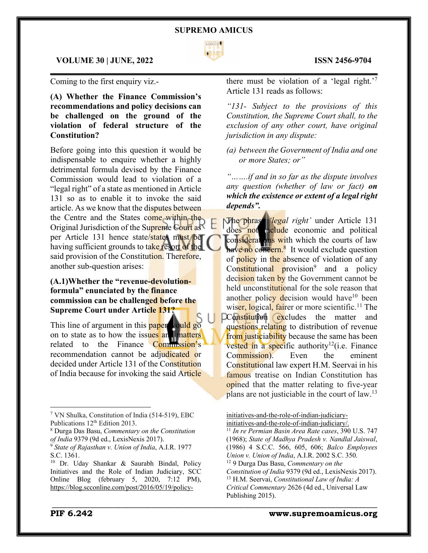

 $\mathcal{L}_\mathcal{L} = \mathcal{L}_\mathcal{L} = \mathcal{L}_\mathcal{L} = \mathcal{L}_\mathcal{L} = \mathcal{L}_\mathcal{L} = \mathcal{L}_\mathcal{L} = \mathcal{L}_\mathcal{L} = \mathcal{L}_\mathcal{L} = \mathcal{L}_\mathcal{L} = \mathcal{L}_\mathcal{L} = \mathcal{L}_\mathcal{L} = \mathcal{L}_\mathcal{L} = \mathcal{L}_\mathcal{L} = \mathcal{L}_\mathcal{L} = \mathcal{L}_\mathcal{L} = \mathcal{L}_\mathcal{L} = \mathcal{L}_\mathcal{L}$ 

\_\_\_\_\_\_\_\_\_\_\_\_\_\_\_\_\_\_\_\_\_\_\_\_\_\_\_\_\_\_\_\_\_\_\_\_\_\_\_\_\_\_\_\_\_\_\_\_\_\_\_\_\_\_\_\_\_\_\_\_\_\_\_\_\_\_\_\_\_\_\_\_\_\_\_\_\_\_\_\_\_\_\_\_\_

### **VOLUME 30 | JUNE, 2022 ISSN 2456-9704**

Coming to the first enquiry viz.-

**(A) Whether the Finance Commission's recommendations and policy decisions can be challenged on the ground of the violation of federal structure of the Constitution?**

Before going into this question it would be indispensable to enquire whether a highly detrimental formula devised by the Finance Commission would lead to violation of a "legal right" of a state as mentioned in Article 131 so as to enable it to invoke the said article. As we know that the disputes between the Centre and the States come within the Original Jurisdiction of the Supreme Court as per Article 131 hence state/states must/be having sufficient grounds to take resort of the said provision of the Constitution. Therefore, another sub-question arises:

# **(A.1)Whether the "revenue-devolutionformula" enunciated by the finance commission can be challenged before the Supreme Court under Article 131?**

This line of argument in this **paper** vould go on to state as to how the issues and matters related to the Finance Commission's recommendation cannot be adjudicated or decided under Article 131 of the Constitution of India because for invoking the said Article

there must be violation of a 'legal right.'7 Article 131 reads as follows:

*"131- Subject to the provisions of this Constitution, the Supreme Court shall, to the exclusion of any other court, have original jurisdiction in any dispute:*

*(a) between the Government of India and one or more States; or"*

*"…….if and in so far as the dispute involves any question (whether of law or fact) on which the existence or extent of a legal right depends".*

The phrase *'legal right'* under Article 131 does not not all economic and political considerations with which the courts of law have no concern.<sup>8</sup> It would exclude question of **policy** in the absence of violation of any Constitutional provision<sup>9</sup> and a policy decision taken by the Government cannot be held unconstitutional for the sole reason that another policy decision would have<sup>10</sup> been wiser, logical, fairer or more scientific.<sup>11</sup> The **Constitution excludes** the matter and questions relating to distribution of revenue from justiciability because the same has been vested in a specific authority<sup>12</sup>(i.e. Finance Commission). Even the eminent Constitutional law expert H.M. Seervai in his famous treatise on Indian Constitution has opined that the matter relating to five-year plans are not justiciable in the court of law.13

initiatives-and-the-role-of-indian-judiciaryinitiatives-and-the-role-of-indian-judiciary/.

<sup>11</sup> *In re Permian Basin Area Rate cases*, 390 U.S. 747 (1968); *State of Madhya Pradesh v. Nandlal Jaiswal*, (1986) 4 S.C.C. 566, 605, 606; *Balco Employees Union v. Union of India*, A.I.R. 2002 S.C. 350. <sup>12</sup> 9 Durga Das Basu, *Commentary on the Constitution of India* 9379 (9d ed., LexisNexis 2017). <sup>13</sup> H.M. Seervai, *Constitutional Law of India: A Critical Commentary* 2626 (4d ed., Universal Law Publishing 2015).

<sup>7</sup> VN Shulka, Constitution of India (514-519), EBC Publications 12<sup>th</sup> Edition 2013.

<sup>8</sup> Durga Das Basu, *Commentary on the Constitution of India* 9379 (9d ed., LexisNexis 2017).

<sup>9</sup> *State of Rajasthan v. Union of India*, A.I.R. 1977 S.C. 1361.

<sup>&</sup>lt;sup>10</sup> Dr. Uday Shankar & Saurabh Bindal, Policy Initiatives and the Role of Indian Judiciary, SCC Online Blog (february 5, 2020, 7:12 PM), https://blog.scconline.com/post/2016/05/19/policy-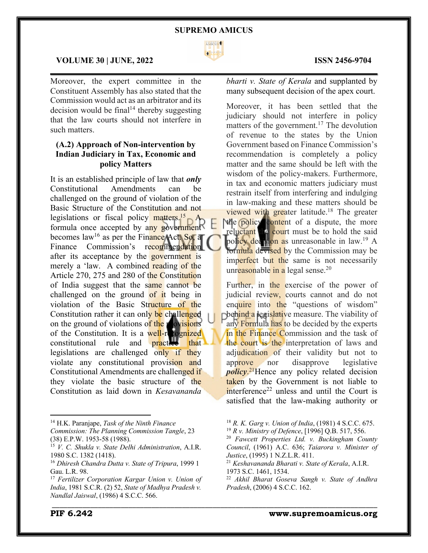

 $\mathcal{L}_\mathcal{L} = \mathcal{L}_\mathcal{L} = \mathcal{L}_\mathcal{L} = \mathcal{L}_\mathcal{L} = \mathcal{L}_\mathcal{L} = \mathcal{L}_\mathcal{L} = \mathcal{L}_\mathcal{L} = \mathcal{L}_\mathcal{L} = \mathcal{L}_\mathcal{L} = \mathcal{L}_\mathcal{L} = \mathcal{L}_\mathcal{L} = \mathcal{L}_\mathcal{L} = \mathcal{L}_\mathcal{L} = \mathcal{L}_\mathcal{L} = \mathcal{L}_\mathcal{L} = \mathcal{L}_\mathcal{L} = \mathcal{L}_\mathcal{L}$ 

\_\_\_\_\_\_\_\_\_\_\_\_\_\_\_\_\_\_\_\_\_\_\_\_\_\_\_\_\_\_\_\_\_\_\_\_\_\_\_\_\_\_\_\_\_\_\_\_\_\_\_\_\_\_\_\_\_\_\_\_\_\_\_\_\_\_\_\_\_\_\_\_\_\_\_\_\_\_\_\_\_\_\_\_\_

## **VOLUME 30 | JUNE, 2022 ISSN 2456-9704**

Moreover, the expert committee in the Constituent Assembly has also stated that the Commission would act as an arbitrator and its decision would be final<sup>14</sup> thereby suggesting that the law courts should not interfere in such matters.

# **(A.2) Approach of Non-intervention by Indian Judiciary in Tax, Economic and policy Matters**

It is an established principle of law that *only* Constitutional Amendments can be challenged on the ground of violation of the Basic Structure of the Constitution and not legislations or fiscal policy  $\frac{m_{\text{at}}}{m_{\text{at}}}}$ formula once accepted by any government becomes  $law^{16}$  as per the Finance Act. So, a Finance Commission's recommendation after its acceptance by the government is merely a 'law. A combined reading of the Article 270, 275 and 280 of the Constitution of India suggest that the same cannot be challenged on the ground of it being in violation of the Basic Structure of the Constitution rather it can only be challenged on the ground of violations of the provisions of the Constitution. It is a well-recognized constitutional rule and practice that legislations are challenged only if they violate any constitutional provision and Constitutional Amendments are challenged if they violate the basic structure of the Constitution as laid down in *Kesavananda* 

*bharti v. State of Kerala* and supplanted by many subsequent decision of the apex court.

Moreover, it has been settled that the judiciary should not interfere in policy matters of the government.<sup>17</sup> The devolution of revenue to the states by the Union Government based on Finance Commission's recommendation is completely a policy matter and the same should be left with the wisdom of the policy-makers. Furthermore, in tax and economic matters judiciary must restrain itself from interfering and indulging in law-making and these matters should be viewed with greater latitude.<sup>18</sup> The greater the **policy** content of a dispute, the more reluctant the court must be to hold the said policy decision as unreasonable in law.<sup>19</sup> A formula devised by the Commission may be imperfect but the same is not necessarily unr<mark>eason</mark>able <mark>in a</mark> legal sense.<sup>20</sup>

Further, in the exercise of the power of judicial review, courts cannot and do not enquire into the "questions of wisdom" behind a legislative measure. The viability of any Formula has to be decided by the experts in the Finance Commission and the task of the court is the interpretation of laws and adjudication of their validity but not to approve nor disapprove legislative *policy*. 21Hence any policy related decision taken by the Government is not liable to  $interference<sup>22</sup>$  unless and until the Court is satisfied that the law-making authority or

<sup>18</sup> *R. K. Garg v. Union of India*, (1981) 4 S.C.C. 675.

<sup>19</sup> *R v. Ministry of Defence*, [1996] Q.B. 517, 556.

<sup>14</sup> H.K. Paranjape, *Task of the Ninth Finance Commission: The Planning Commission Tangle*, 23 (38) E.P.W. 1953-58 (1988).

<sup>15</sup> *V. C. Shukla v. State Delhi Administration*, A.I.R. 1980 S.C. 1382 (1418).

<sup>16</sup> *Dhiresh Chandra Dutta v. State of Tripura*, 1999 1 Gau. L.R. 98.

<sup>17</sup> *Fertilizer Corporation Kargar Union v. Union of India*, 1981 S.C.R. (2) 52, *State of Madhya Pradesh v. Nandlal Jaiswal*, (1986) 4 S.C.C. 566.

<sup>20</sup> *Fawcett Properties Ltd. v. Buckingham County Council*, (1961) A.C. 636; *Taiarora v. Minister of Justice*, (1995) 1 N.Z.L.R. 411.

<sup>21</sup> *Keshavananda Bharati v. State of Kerala*, A.I.R. 1973 S.C. 1461, 1534.

<sup>22</sup> *Akhil Bharat Goseva Sangh v. State of Andhra Pradesh*, (2006) 4 S.C.C. 162.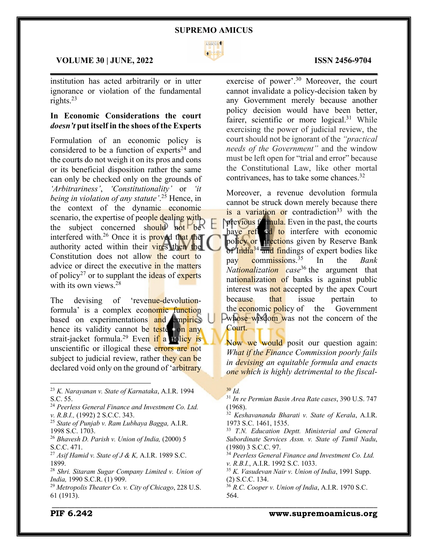

 $\mathcal{L}_\mathcal{L} = \mathcal{L}_\mathcal{L} = \mathcal{L}_\mathcal{L} = \mathcal{L}_\mathcal{L} = \mathcal{L}_\mathcal{L} = \mathcal{L}_\mathcal{L} = \mathcal{L}_\mathcal{L} = \mathcal{L}_\mathcal{L} = \mathcal{L}_\mathcal{L} = \mathcal{L}_\mathcal{L} = \mathcal{L}_\mathcal{L} = \mathcal{L}_\mathcal{L} = \mathcal{L}_\mathcal{L} = \mathcal{L}_\mathcal{L} = \mathcal{L}_\mathcal{L} = \mathcal{L}_\mathcal{L} = \mathcal{L}_\mathcal{L}$ 

### **VOLUME 30 | JUNE, 2022 ISSN 2456-9704**

institution has acted arbitrarily or in utter ignorance or violation of the fundamental rights.23

# **In Economic Considerations the court**  *doesn't* **put itself in the shoes of the Experts**

Formulation of an economic policy is considered to be a function of experts<sup>24</sup> and the courts do not weigh it on its pros and cons or its beneficial disposition rather the same can only be checked only on the grounds of *'Arbitrariness'*, *'Constitutionality'* or *'it being in violation of any statute'*. <sup>25</sup> Hence, in the context of the dynamic economic scenario, the expertise of people dealing with the subject concerned should not be interfered with.<sup>26</sup> Once it is **proved** that the authority acted within their vires then the Constitution does not allow the court to advice or direct the executive in the matters of policy<sup>27</sup> or to supplant the **ideas** of experts with its own views.<sup>28</sup>

The devising of 'revenue-devolutionformula' is a complex economic function based on experimentations and empirics hence its validity cannot be tested on any strait-jacket formula.<sup>29</sup> Even if a policy is unscientific or illogical these errors are not subject to judicial review, rather they can be declared void only on the ground of 'arbitrary

<sup>23</sup> *K. Narayanan v. State of Karnataka*, A.I.R. 1994 S.C. 55.

- <sup>24</sup> *Peerless General Finance and Investment Co. Ltd. v. R.B.I.,* (1992) 2 S.C.C. 343.
- <sup>25</sup> *State of Punjab v. Ram Lubhaya Bagga,* A.I.R. 1998 S.C. 1703.

<sup>26</sup> *Bhavesh D. Parish v. Union of India,* (2000) 5 S.C.C. 471.

<sup>27</sup> *Asif Hamid v. State of J & K,* A.I.R. 1989 S.C. 1899.

<sup>28</sup> *Shri. Sitaram Sugar Company Limited v. Union of India,* 1990 S.C.R. (1) 909.

<sup>29</sup> *Metropolis Theater Co. v. City of Chicago*, 228 U.S. 61 (1913).

exercise of power'.30 Moreover, the court cannot invalidate a policy-decision taken by any Government merely because another policy decision would have been better, fairer, scientific or more logical.<sup>31</sup> While exercising the power of judicial review, the court should not be ignorant of the *"practical needs of the Government"* and the window must be left open for "trial and error" because the Constitutional Law, like other mortal contrivances, has to take some chances.32

Moreover, a revenue devolution formula cannot be struck down merely because there is a variation or contradiction<sup>33</sup> with the previous formula. Even in the past, the courts have refused to interfere with economic policy or directions given by Reserve Bank of India<sup>34</sup> and findings of expert bodies like pay commissions.35 In the *Bank Nationalization case*<sup>36</sup> the argument that nationalization of banks is against public interest was not accepted by the apex Court because that issue pertain to the **economic policy of** the Government **Ewhose wisdom was not the concern of the** Court.

Now we would posit our question again: *What if the Finance Commission poorly fails in devising an equitable formula and enacts one which is highly detrimental to the fiscal-*

\_\_\_\_\_\_\_\_\_\_\_\_\_\_\_\_\_\_\_\_\_\_\_\_\_\_\_\_\_\_\_\_\_\_\_\_\_\_\_\_\_\_\_\_\_\_\_\_\_\_\_\_\_\_\_\_\_\_\_\_\_\_\_\_\_\_\_\_\_\_\_\_\_\_\_\_\_\_\_\_\_\_\_\_\_

- <sup>34</sup> *Peerless General Finance and Investment Co. Ltd. v. R.B.I.*, A.I.R. 1992 S.C. 1033.
- <sup>35</sup> *K. Vasudevan Nair v. Union of India*, 1991 Supp. (2) S.C.C. 134.
- <sup>36</sup> *R.C. Cooper v. Union of India*, A.I.R. 1970 S.C. 564.

#### **PIF 6.242 www.supremoamicus.org**

<sup>30</sup> *Id.*

<sup>31</sup> *In re Permian Basin Area Rate cases*, 390 U.S. 747 (1968).

<sup>32</sup> *Keshavananda Bharati v. State of Kerala*, A.I.R. 1973 S.C. 1461, 1535.

<sup>33</sup> *T.N. Education Deptt. Ministerial and General Subordinate Services Assn. v. State of Tamil Nadu*, (1980) 3 S.C.C. 97.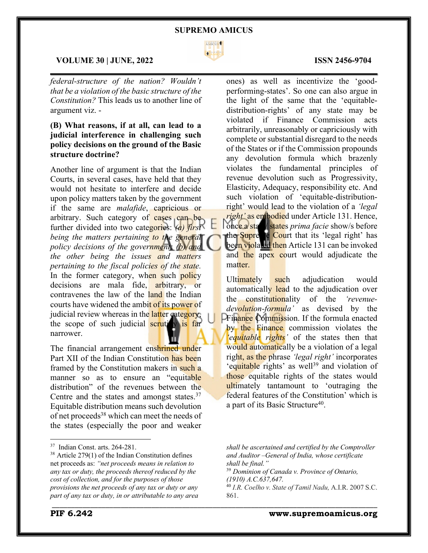

 $\mathcal{L}_\mathcal{L} = \mathcal{L}_\mathcal{L} = \mathcal{L}_\mathcal{L} = \mathcal{L}_\mathcal{L} = \mathcal{L}_\mathcal{L} = \mathcal{L}_\mathcal{L} = \mathcal{L}_\mathcal{L} = \mathcal{L}_\mathcal{L} = \mathcal{L}_\mathcal{L} = \mathcal{L}_\mathcal{L} = \mathcal{L}_\mathcal{L} = \mathcal{L}_\mathcal{L} = \mathcal{L}_\mathcal{L} = \mathcal{L}_\mathcal{L} = \mathcal{L}_\mathcal{L} = \mathcal{L}_\mathcal{L} = \mathcal{L}_\mathcal{L}$ 

### **VOLUME 30 | JUNE, 2022 ISSN 2456-9704**

*federal-structure of the nation? Wouldn't that be a violation of the basic structure of the Constitution?* This leads us to another line of argument viz. -

# **(B) What reasons, if at all, can lead to a judicial interference in challenging such policy decisions on the ground of the Basic structure doctrine?**

Another line of argument is that the Indian Courts, in several cases, have held that they would not hesitate to interfere and decide upon policy matters taken by the government if the same are *malafide*, capricious or arbitrary. Such category of cases can be further divided into two categories: *(a) first being the matters pertaining to the general policy decisions of the government; (b) and the other being the issues and matters pertaining to the fiscal policies of the state.* In the former category, when such policy decisions are mala fide, arbitrary, or contravenes the law of the land the Indian courts have widened the ambit of its power of judicial review whereas in the latter category, the scope of such judicial scrutiny is far narrower.

The financial arrangement enshrined under Part XII of the Indian Constitution has been framed by the Constitution makers in such a manner so as to ensure an "equitable" distribution" of the revenues between the Centre and the states and amongst states.37 Equitable distribution means such devolution of net proceeds<sup>38</sup> which can meet the needs of the states (especially the poor and weaker

ones) as well as incentivize the 'goodperforming-states'. So one can also argue in the light of the same that the 'equitabledistribution-rights' of any state may be violated if Finance Commission acts arbitrarily, unreasonably or capriciously with complete or substantial disregard to the needs of the States or if the Commission propounds any devolution formula which brazenly violates the fundamental principles of revenue devolution such as Progressivity, Elasticity, Adequacy, responsibility etc. And such violation of 'equitable-distributionright' would lead to the violation of a *'legal right'* as embodied under Article 131. Hence, once a state/ states *prima facie* show/s before the Supreme Court that its 'legal right' has been violated then Article 131 can be invoked and the apex court would adjudicate the matter.

Ultimately such adjudication would automatically lead to the adjudication over the constitutionality of the *'revenuedevolution-formula'* as devised by the **Prinance Commission.** If the formula enacted by the Finance commission violates the *'equitable rights'* of the states then that would automatically be a violation of a legal right, as the phrase *'legal right'* incorporates 'equitable rights' as well<sup>39</sup> and violation of those equitable rights of the states would ultimately tantamount to 'outraging the federal features of the Constitution' which is a part of its Basic Structure<sup>40</sup>.

<sup>37</sup> Indian Const. arts. 264-281.

<sup>38</sup> Article 279(1) of the Indian Constitution defines net proceeds as: *"net proceeds means in relation to any tax or duty, the proceeds thereof reduced by the cost of collection, and for the purposes of those provisions the net proceeds of any tax or duty or any part of any tax or duty, in or attributable to any area* 

*shall be ascertained and certified by the Comptroller and Auditor –General of India, whose certificate shall be final."*

<sup>39</sup> *Dominion of Canada v. Province of Ontario, (1910) A.C.637,647.*

<sup>40</sup> *I.R. Coelho v. State of Tamil Nadu,* A.I.R. 2007 S.C. 861.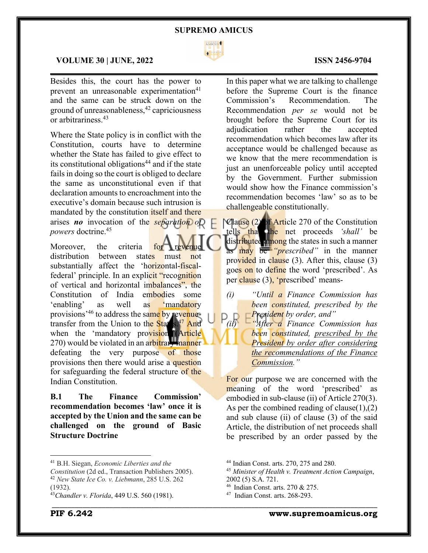

 $\mathcal{L}_\mathcal{L} = \mathcal{L}_\mathcal{L} = \mathcal{L}_\mathcal{L} = \mathcal{L}_\mathcal{L} = \mathcal{L}_\mathcal{L} = \mathcal{L}_\mathcal{L} = \mathcal{L}_\mathcal{L} = \mathcal{L}_\mathcal{L} = \mathcal{L}_\mathcal{L} = \mathcal{L}_\mathcal{L} = \mathcal{L}_\mathcal{L} = \mathcal{L}_\mathcal{L} = \mathcal{L}_\mathcal{L} = \mathcal{L}_\mathcal{L} = \mathcal{L}_\mathcal{L} = \mathcal{L}_\mathcal{L} = \mathcal{L}_\mathcal{L}$ 

## **VOLUME 30 | JUNE, 2022 ISSN 2456-9704**

Besides this, the court has the power to prevent an unreasonable experimentation $41$ and the same can be struck down on the ground of unreasonableness,42 capriciousness or arbitrariness.43

Where the State policy is in conflict with the Constitution, courts have to determine whether the State has failed to give effect to its constitutional obligations<sup>44</sup> and if the state fails in doing so the court is obliged to declare the same as unconstitutional even if that declaration amounts to encroachment into the executive's domain because such intrusion is mandated by the constitution *itself* and there arises *no* invocation of the *separation of powers* doctrine.45

Moreover, the criteria for distribution between states must not substantially affect the 'horizontal-fiscalfederal' principle. In an explicit "recognition" of vertical and horizontal imbalances", the Constitution of India embodies some 'enabling' as well as 'mandatory provisions<sup>, 46</sup> to address the same by revenuetransfer from the Union to the States.<sup>47</sup> And when the 'mandatory provision<sub>s</sub>'(Article 270) would be violated in an arbitrary manner defeating the very purpose of those provisions then there would arise a question for safeguarding the federal structure of the Indian Constitution.

**B.1 The Finance Commission' recommendation becomes 'law' once it is accepted by the Union and the same can be challenged on the ground of Basic Structure Doctrine**

In this paper what we are talking to challenge before the Supreme Court is the finance Commission's Recommendation. The Recommendation *per se* would not be brought before the Supreme Court for its adjudication rather the accepted recommendation which becomes law after its acceptance would be challenged because as we know that the mere recommendation is just an unenforceable policy until accepted by the Government. Further submission would show how the Finance commission's recommendation becomes 'law' so as to be challengeable constitutionally.

Clause (2) of Article 270 of the Constitution tells that the net proceeds *'shall'* be distributed among the states in such a manner as may be *"prescribed"* in the manner provided in clause (3). After this, clause (3) goes on to define the word 'prescribed'. As per clause (3), 'prescribed' means-

- *(i) "Until a Finance Commission has been constituted, prescribed by the President by order, and"*
- *(ii) "After a Finance Commission has been constituted, prescribed by the President by order after considering the recommendations of the Finance Commission."*

For our purpose we are concerned with the meaning of the word 'prescribed' as embodied in sub-clause (ii) of Article 270(3). As per the combined reading of clause(1),(2) and sub clause (ii) of clause (3) of the said Article, the distribution of net proceeds shall be prescribed by an order passed by the

<sup>41</sup> B.H. Siegan, *Economic Liberties and the* 

*Constitution* (2d ed., Transaction Publishers 2005). <sup>42</sup> *New State Ice Co. v. Liebmann*, 285 U.S. 262 (1932).

<sup>43</sup>*Chandler v. Florida*, 449 U.S. 560 (1981).

<sup>44</sup> Indian Const. arts. 270, 275 and 280.

<sup>45</sup> *Minister of Health v. Treatment Action Campaign*, 2002 (5) S.A. 721.

<sup>46</sup> Indian Const. arts. 270 & 275.

<sup>47</sup> Indian Const. arts. 268-293.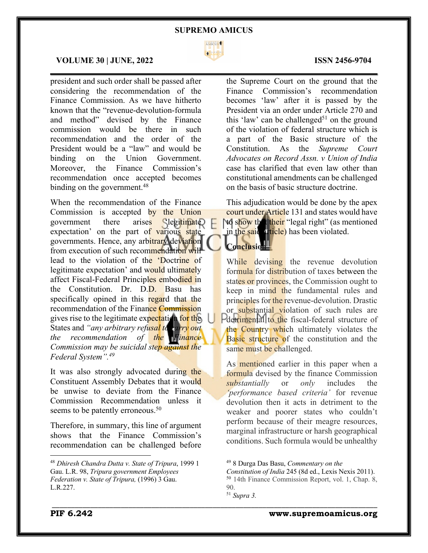

 $\mathcal{L}_\mathcal{L} = \mathcal{L}_\mathcal{L} = \mathcal{L}_\mathcal{L} = \mathcal{L}_\mathcal{L} = \mathcal{L}_\mathcal{L} = \mathcal{L}_\mathcal{L} = \mathcal{L}_\mathcal{L} = \mathcal{L}_\mathcal{L} = \mathcal{L}_\mathcal{L} = \mathcal{L}_\mathcal{L} = \mathcal{L}_\mathcal{L} = \mathcal{L}_\mathcal{L} = \mathcal{L}_\mathcal{L} = \mathcal{L}_\mathcal{L} = \mathcal{L}_\mathcal{L} = \mathcal{L}_\mathcal{L} = \mathcal{L}_\mathcal{L}$ 

### **VOLUME 30 | JUNE, 2022 ISSN 2456-9704**

president and such order shall be passed after considering the recommendation of the Finance Commission. As we have hitherto known that the "revenue-devolution-formula and method" devised by the Finance commission would be there in such recommendation and the order of the President would be a "law" and would be binding on the Union Government. Moreover, the Finance Commission's recommendation once accepted becomes binding on the government.<sup>48</sup>

When the recommendation of the Finance Commission is accepted by the Union government there arises 'legitimate' expectation' on the part of various state governments. Hence, any arbitrary deviation from execution of such recommendation will lead to the violation of the 'Doctrine of legitimate expectation' and would ultimately affect Fiscal-Federal Principles embodied in the Constitution. Dr. D.D. Basu has specifically opined in this regard that the recommendation of the Finance Commission gives rise to the legitimate expectation for the States and "*any arbitrary refusal to carry out the recommendation of the Finance Commission may be suicidal step against the Federal System".49*

It was also strongly advocated during the Constituent Assembly Debates that it would be unwise to deviate from the Finance Commission Recommendation unless it seems to be patently erroneous.<sup>50</sup>

Therefore, in summary, this line of argument shows that the Finance Commission's recommendation can be challenged before

the Supreme Court on the ground that the Finance Commission's recommendation becomes 'law' after it is passed by the President via an order under Article 270 and this 'law' can be challenged<sup>51</sup> on the ground of the violation of federal structure which is a part of the Basic structure of the Constitution. As the *Supreme Court Advocates on Record Assn. v Union of India* case has clarified that even law other than constitutional amendments can be challenged on the basis of basic structure doctrine.

This adjudication would be done by the apex court under Article 131 and states would have **to show that their** "legal right" (as mentioned in the said article) has been violated.

# **Conclusion**

While devising the revenue devolution formula for distribution of taxes between the states or provinces, the Commission ought to keep in mind the fundamental rules and principles for the revenue-devolution. Drastic or substantial violation of such rules are Pdetrimental to the fiscal-federal structure of the Country which ultimately violates the Basic structure of the constitution and the same must be challenged.

As mentioned earlier in this paper when a formula devised by the finance Commission *substantially* or *only* includes the *'performance based criteria'* for revenue devolution then it acts in detriment to the weaker and poorer states who couldn't perform because of their meagre resources, marginal infrastructure or harsh geographical conditions. Such formula would be unhealthy

*Constitution of India* 245 (8d ed., Lexis Nexis 2011). <sup>50</sup> 14th Finance Commission Report, vol. 1, Chap. 8,  $90^{\circ}$ 

<sup>48</sup> *Dhiresh Chandra Dutta v. State of Tripura*, 1999 1 Gau. L.R. 98, *Tripura government Employees Federation v. State of Tripura,* (1996) 3 Gau. L.R.227.

<sup>49</sup> 8 Durga Das Basu, *Commentary on the* 

<sup>51</sup> *Supra 3.*